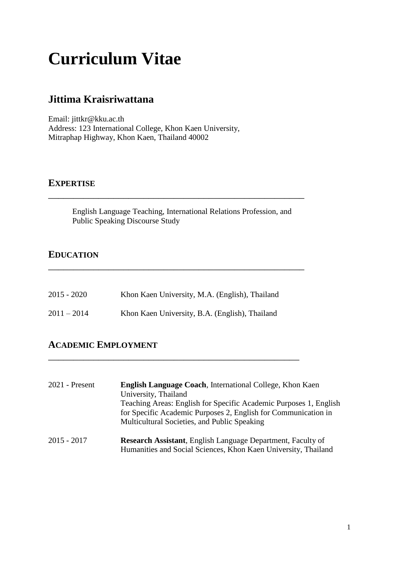# **Curriculum Vitae**

# **Jittima Kraisriwattana**

Email: jittkr@kku.ac.th Address: 123 International College, Khon Kaen University, Mitraphap Highway, Khon Kaen, Thailand 40002

#### **EXPERTISE**

English Language Teaching, International Relations Profession, and Public Speaking Discourse Study

\_\_\_\_\_\_\_\_\_\_\_\_\_\_\_\_\_\_\_\_\_\_\_\_\_\_\_\_\_\_\_\_\_\_\_\_\_\_\_\_\_\_\_\_\_\_\_\_\_\_\_

\_\_\_\_\_\_\_\_\_\_\_\_\_\_\_\_\_\_\_\_\_\_\_\_\_\_\_\_\_\_\_\_\_\_\_\_\_\_\_\_\_\_\_\_\_\_\_\_\_\_\_

#### **EDUCATION**

| $2015 - 2020$ | Khon Kaen University, M.A. (English), Thailand |
|---------------|------------------------------------------------|
| $2011 - 2014$ | Khon Kaen University, B.A. (English), Thailand |

\_\_\_\_\_\_\_\_\_\_\_\_\_\_\_\_\_\_\_\_\_\_\_\_\_\_\_\_\_\_\_\_\_\_\_\_\_\_\_\_\_\_\_\_\_\_\_\_\_\_

### **ACADEMIC EMPLOYMENT**

2021 - Present **English Language Coach**, International College, Khon Kaen University, Thailand Teaching Areas: English for Specific Academic Purposes 1, English for Specific Academic Purposes 2, English for Communication in Multicultural Societies, and Public Speaking 2015 - 2017 **Research Assistant**, English Language Department, Faculty of Humanities and Social Sciences, Khon Kaen University, Thailand